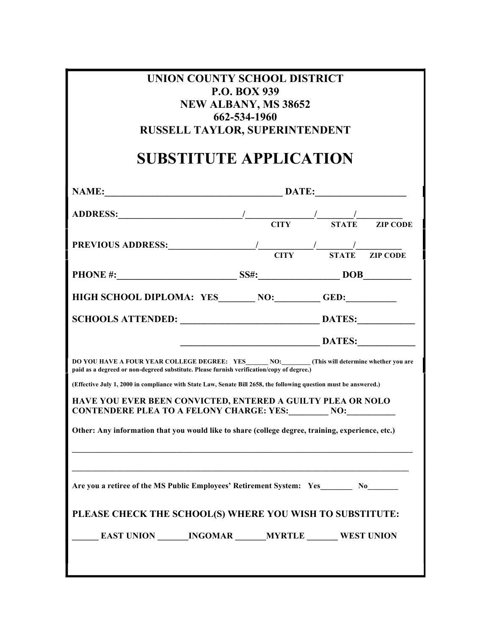| UNION COUNTY SCHOOL DISTRICT<br><b>P.O. BOX 939</b><br><b>NEW ALBANY, MS 38652</b><br>662-534-1960<br><b>RUSSELL TAYLOR, SUPERINTENDENT</b><br><b>SUBSTITUTE APPLICATION</b> |                            |        |  |  |  |  |
|------------------------------------------------------------------------------------------------------------------------------------------------------------------------------|----------------------------|--------|--|--|--|--|
| NAME:                                                                                                                                                                        | $\overbrace{\text{DATE:}}$ |        |  |  |  |  |
|                                                                                                                                                                              |                            |        |  |  |  |  |
|                                                                                                                                                                              |                            |        |  |  |  |  |
|                                                                                                                                                                              |                            |        |  |  |  |  |
| HIGH SCHOOL DIPLOMA: YES NO: GED:                                                                                                                                            |                            |        |  |  |  |  |
|                                                                                                                                                                              |                            |        |  |  |  |  |
|                                                                                                                                                                              |                            | DATES: |  |  |  |  |
| paid as a degreed or non-degreed substitute. Please furnish verification/copy of degree.)                                                                                    |                            |        |  |  |  |  |
| (Effective July 1, 2000 in compliance with State Law, Senate Bill 2658, the following question must be answered.)                                                            |                            |        |  |  |  |  |
| HAVE YOU EVER BEEN CONVICTED, ENTERED A GUILTY PLEA OR NOLO<br><b>CONTENDERE PLEA TO A FELONY CHARGE: YES: NO: NO:</b>                                                       |                            |        |  |  |  |  |
| Other: Any information that you would like to share (college degree, training, experience, etc.)                                                                             |                            |        |  |  |  |  |
|                                                                                                                                                                              |                            |        |  |  |  |  |
| Are you a retiree of the MS Public Employees' Retirement System: Yes No                                                                                                      |                            |        |  |  |  |  |
| PLEASE CHECK THE SCHOOL(S) WHERE YOU WISH TO SUBSTITUTE:                                                                                                                     |                            |        |  |  |  |  |
| <b>EAST UNION _______ INGOMAR _______ MYRTLE _______ WEST UNION</b>                                                                                                          |                            |        |  |  |  |  |
|                                                                                                                                                                              |                            |        |  |  |  |  |